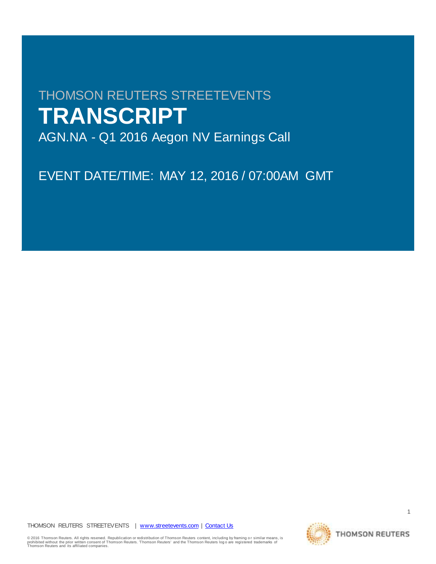## THOMSON REUTERS STREETEVENTS **TRANSCRIPT**

AGN.NA - Q1 2016 Aegon NV Earnings Call

EVENT DATE/TIME: MAY 12, 2016 / 07:00AM GMT

THOMSON REUTERS STREETEVENTS | [www.streetevents.com](http://www.streetevents.com/) | [Contact Us](http://www010.streetevents.com/contact.asp)

© 2016 Thomson Reuters. All rights reserved. Republication or redistribution of Thomson Reuters content, including by framing o r similar means, is prohibited without the prior written consent of Thomson Reuters. Thomson Reuters' and the Thomson Reuters log o are registered trademarks of<br>Thomson Reuters and its affiliated companies.

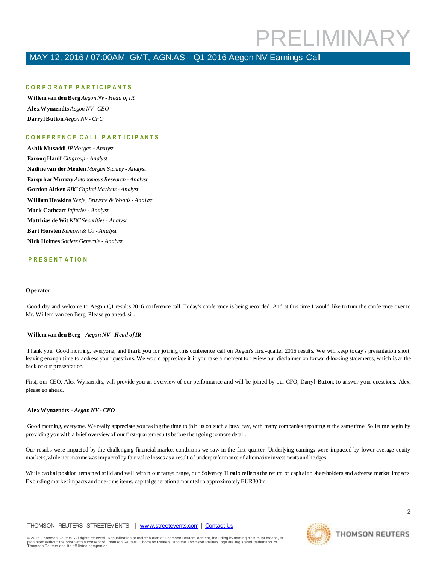### MAY 12, 2016 / 07:00AM GMT, AGN.AS - Q1 2016 Aegon NV Earnings Call

### **C O R P O R A T E P A R T I C I P A N T S**

**Willem van den Berg** *Aegon NV - Head of IR* **Alex Wynaendts** *Aegon NV - CEO* **Darryl Button** *Aegon NV - CFO*

### **C O N F E R E N C E C A L L P A R T I C I P A N T S**

**Ashik Musaddi** *JPMorgan - Analyst* **Farooq Hanif** *Citigroup - Analyst* **Nadine van der Meulen** *Morgan Stanley - Analyst* **Farquhar Murray** *Autonomous Research - Analyst* **Gordon Aitken** *RBC Capital Markets - Analyst* **William Hawkins** *Keefe, Bruyette & Woods - Analyst* **Mark Cathcart** *Jefferies - Analyst* **Matthias de Wit** *KBC Securities - Analyst* **Bart Horsten** *Kempen & Co - Analyst* **Nick Holmes** *Societe Generale - Analyst*

### **P R E S E N T A T I O N**

#### **O perator**

Good day and welcome to Aegon Q1 results 2016 conference call. Today's conference is being recorded. And at this time I would like to turn the conference over to Mr. Willem van den Berg. Please go ahead, sir.

### **Willem van den Berg** *- Aegon NV - Head of IR*

Thank you. Good morning, everyone, and thank you for joining this conference call on Aegon's first -quarter 2016 results. We will keep today's presentation short, leaving enough time to address your questions. We would appreciate it if you take a moment to review our disclaimer on forwar d-looking statements, which is at the back of our presentation.

First, our CEO, Alex Wynaendts, will provide you an overview of our performance and will be joined by our CFO, Darryl Button, to answer your quest ions. Alex, please go ahead.

### **Alex Wynaendts** *- Aegon NV - CEO*

Good morning, everyone. We really appreciate you taking the time to join us on such a busy day, with many companies reporting at the same time. So let me begin by providing you with a brief overview of our first-quarter results before then going to more detail.

Our results were impacted by the challenging financial market conditions we saw in the first quarter. Underlying earnings were impacted by lower average equity markets, while net income was impacted by fair value losses as a result of underperformance of alternative investments and hedges.

While capital position remained solid and well within our target range, our Solvency II ratio reflects the return of capital to shareholders and adverse market impacts. Excluding market impacts and one-time items, capital generation amounted to approximately EUR300m.

### THOMSON REUTERS STREETEVENTS | [www.streetevents.com](http://www.streetevents.com/) | [Contact Us](http://www010.streetevents.com/contact.asp)

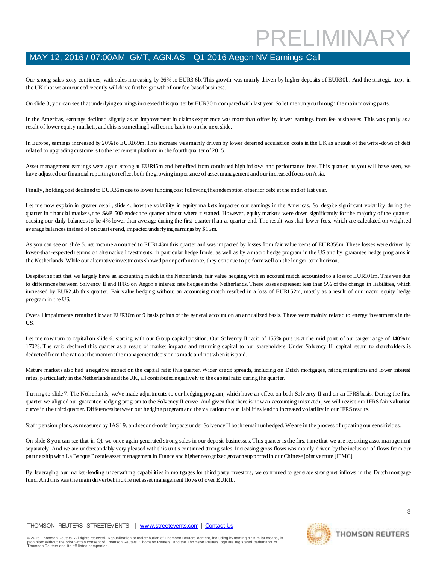Our strong sales story continues, with sales increasing by 36% to EUR3.6b. This growth was mainly driven by higher deposits of EUR30b. And the strategic steps in the UK that we announced recently will drive further growth of our fee-based business.

On slide 3, you can see that underlying earnings increased this quarter by EUR30m compared with last year. So let me run you through the main moving parts.

In the Americas, earnings declined slightly as an improvement in claims experience was more than offset by lower earnings from fee businesses. This was partly as a result of lower equity markets, and this is something I will come back to on the next slide.

In Europe, earnings increased by 20% to EUR169m. This increase was mainly driven by lower deferred acquisition costs in the UK as a result of the write-down of debt related to upgrading customers to the retirement platform in the fourth quarter of 2015.

Asset management earnings were again strong at EUR45m and benefited from continued high inflows and performance fees. This quarter, as you will have seen, we have adjusted our financial reporting to reflect both the growing importance of asset management and our increased focus on Asia.

Finally, holding cost declined to EUR36m due to lower funding cost following the redemption of senior debt at the end of last year.

Let me now explain in greater detail, slide 4, how the volatility in equity markets impacted our earnings in the Americas. So despite significant volatility during the quarter in financial markets, the S&P 500 ended the quarter almost where it started. However, equity markets were down significantly for the majority of the quarter, causing our daily balances to be 4% lower than average during the first quarter than at quarter end. The result was that lower fees, which are calculated on weighted average balances instead of on quarter end, impacted underlying earnings by \$15m.

As you can see on slide 5, net income amounted to EUR143m this quarter and was impacted by losses from fair value items of EUR358m. These losses were driven by lower-than-expected returns on alternative investments, in particular hedge funds, as well as by a macro hedge program in the US and by guarantee hedge programs in the Netherlands. While our alternative investments showed poor performance, they continue to perform well on the longer-term horizon.

Despite the fact that we largely have an accounting match in the Netherlands, fair value hedging with an account match accounted to a loss of EUR101m. This was due to differences between Solvency II and IFRS on Aegon's interest rate hedges in the Netherlands. These losses represent less than 5% of the change in liabilities, which increased by EUR2.4b this quarter. Fair value hedging without an accounting match resulted in a loss of EUR152m, mostly as a result of our macro equity hedge program in the US.

Overall impairments remained low at EUR36m or 9 basis points of the general account on an annualized basis. These were mainly related to energy investments in the US.

Let me now turn to capital on slide 6, starting with our Group capital position. Our Solvency II ratio of 155% puts us at the mid point of our target range of 140% to 170%. The ratio declined this quarter as a result of market impacts and returning capital to our shareholders. Under Solvency II, capital return to shareholders is deducted from the ratio at the moment the management decision is made and not when it is paid.

Mature markets also had a negative impact on the capital ratio this quarter. Wider credit spreads, including on Dutch mortgages, rating migrations and lower interest rates, particularly in the Netherlands and the UK, all contributed negatively to the capital ratio during the quarter.

Turning to slide 7. The Netherlands, we've made adjustments to our hedging program, which have an effect on both Solvency II and on an IFRS basis. During the first quarter we aligned our guarantee hedging program to the Solvency II curve. And given that there is now an accounting mismatch, we will revisit our IFRS fair valuation curve in the third quarter. Differences between our hedging program and the valuation of our liabilities lead to increased vo latility in our IFRS results.

Staff pension plans, as measured by IAS 19, and second-order impacts under Solvency II both remain unhedged. We are in the process of updating our sensitivities.

On slide 8 you can see that in Q1 we once again generated strong sales in our deposit businesses. This quarter is the first time that we are reporting asset management separately. And we are understandably very pleased with this unit's continued strong sales. Increasing gross flows was mainly driven by the inclusion of flows from our partnership with La Banque Postale asset management in France and higher recognized growth supported in our Chinese joint venture [IFMC].

By leveraging our market-leading underwriting capabilities in mortgages for third party investors, we continued to generate strong net inflows in the Dutch mortgage fund. And this was the main driver behind the net asset management flows of over EUR1b.

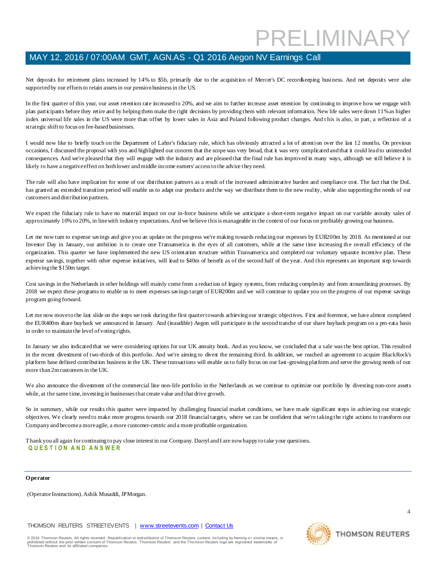Net deposits for retirement plans increased by 14% to \$5b, primarily due to the acquisition of Mercer's DC recordkeeping business. And net deposits were also supported by our efforts to retain assets in our pension business in the US.

In the first quarter of this year, our asset retention rate increased to 20%, and we aim to further increase asset retention by continuing to improve how we engage with plan participants before they retire and by helping them make the right decisions by providing them with relevant information. New life sales were down 11% as higher index universal life sales in the US were more than offset by lower sales in Asia and Poland following product changes. And t his is also, in part, a reflection of a strategic shift to focus on fee-based businesses.

I would now like to briefly touch on the Department of Labor's fiduciary rule, which has obviously attracted a lot of attention over the last 12 months. On previous occasions, I discussed the proposal with you and highlighted our concern that the scope was very broad, that it was very complicated and that it could lead to unintended consequences. And we're pleased that they will engage with the industry and are pleased that the final rule has improved in many ways, although we still believe it is likely to have a negative effect on both lower and middle income earners' access to the advice they need.

The rule will also have implication for some of our distribution partners as a result of the increased administrative burden and compliance cost. The fact that the DoL has granted an extended transition period will enable us to adapt our products and the way we distribute them to the new reality, while also supporting the needs of our customers and distribution partners.

We expect the fiduciary rule to have no material impact on our in-force business while we anticipate a short-term negative impact on our variable annuity sales of approximately 10% to 20%, in line with industry expectations. And we believe this is manageable in the context of our focus on profitably growing our business.

Let me now turn to expense savings and give you an update on the progress we're making towards reducing our expenses by EUR200m by 2018. As mentioned at our Investor Day in January, our ambition is to create one Transamerica in the eyes of all customers, while at the same time increasing the overall efficiency of the organization. This quarter we have implemented the new US orientation structure within Transamerica and completed our voluntary separate incentive plan. These expense savings, together with other expense initiatives, will lead to \$40m of benefit as of the second half of the year. And this represents an important step towards achieving the \$150m target.

Cost savings in the Netherlands in other holdings will mainly come from a reduction of legacy systems, from reducing complexity and from streamlining processes. By 2018 we expect these programs to enable us to meet expenses savings target of EUR200m and we will continue to update you on the progress of our expense savings program going forward.

Let me now move to the last slide on the steps we took during the first quarter towards achieving our strategic objectives. First and foremost, we have almost completed the EUR400m share buyback we announced in January. And (inaudible) Aegon will participate in the second tranche of our share buyback program on a pro-rata basis in order to maintain the level of voting rights.

In January we also indicated that we were considering options for our UK annuity book. And as you know, we concluded that a sale wasthe best option. This resulted in the recent divestment of two-thirds of this portfolio. And we're aiming to divest the remaining third. In addition, we reached an agreement to acquire BlackRock's platform base defined contribution business in the UK. These transactions will enable us to fully focus on our fast-growing platform and serve the growing needs of our more than 2m customers in the UK.

We also announce the divestment of the commercial line non-life portfolio in the Netherlands as we continue to optimize our portfolio by divesting non-core assets while, at the same time, investing in businesses that create value and that drive growth.

So in summary, while our results this quarter were impacted by challenging financial market conditions, we have made significant steps in achieving our strategic objectives. We clearly need to make more progress towards our 2018 financial targets, where we can be confident that we're taking the right actions to transform our Company and become a more agile, a more customer-centric and a more profitable organization.

Thank you all again for continuing to pay close interest in our Company. Darryl and I are now happy to take your questions. **Q U E S T I O N A N D A N S W E R**

### **O perator**

(Operator Instructions). Ashik Musaddi, JPMorgan.

THOMSON REUTERS STREETEVENTS | [www.streetevents.com](http://www.streetevents.com/) | [Contact Us](http://www010.streetevents.com/contact.asp)

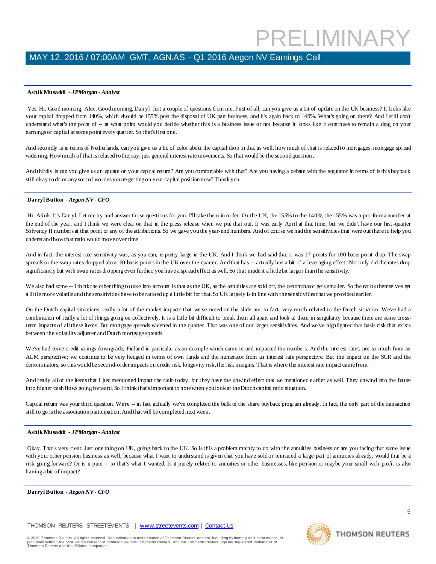### **Ashik Musaddi** *- JPMorgan - Analyst*

Yes. Hi. Good morning, Alex. Good morning, Darryl. Just a couple of questions from me. First of all, can you give us a bit of update on the UK business? It looks like your capital dropped from 140%, which should be 155% post the disposal of UK part business, and it's again back to 140%. What's going on there? And I still don't understand what's the point of - at what point would you decide whether this is a business issue or not because it looks like it continues to remain a drag on your earnings or capital at some point every quarter. So that's first one.

And secondly is in terms of Netherlands, can you give us a bit of color about the capital drop in that as well, how much of that is related to mortgages, mortgage spread widening. How much of that is related to the, say, just general interest rate movements. So that would be the second question .

And thirdly is can you give us an update on your capital return? Are you comfortable with that? Are you having a debate with the regulator in terms of is this buyback still okay to do or any sort of worries you're getting on your capital position now? Thank you.

### **Darryl Button** *- Aegon NV - CFO*

Hi, Ashik. It's Darryl. Let me try and answer those questions for you. I'll take them in order. On the UK, the 155% to the 140%, the 155% was a pro-forma number at the end of the year, and I think we were clear on that in the press release when we put that out. It was early April at that time, but we didn't have our first-quarter Solvency II numbers at that point or any of the attributions. So we gave you the year-end numbers. And of course we had the sensitivities that were out there to help you understand how that ratio would move over time.

And in fact, the interest rate sensitivity was, as you can, is pretty large in the UK. And I think we had said that it was 17 points for 100-basis-point drop. The swap spreads or the swap rates dropped about 60 basis points in the UK over the quarter. And that has -- actually has a bit of a leveraging effect. Not only did the rates drop significantly but with swap rates dropping even further, you have a spread effect as well. So that made it a little bit larger than the sensitivity.

We also had some -- I think the other thing to take into account is that as the UK, as the annuities are sold off, the denominator gets smaller. So the ratios themselves get a little more volatile and the sensitivities have to be ratioed up a little bit for that. So UK largely is in line with the sensitivities that we provided earlier.

On the Dutch capital situations, really a lot of the market impacts that we've noted on the slide are, in fact, very much related to the Dutch situation. We've had a combination of really a lot of things going on collectively. It is a little bit difficult to break them all apart and look at them in singularity because there are some crossterm impacts of all these items. But mortgage spreads widened in the quarter. That was one of our larger sensitivities. And we've highlighted that basis risk that exists between the volatility adjuster and Dutch mortgage spreads.

We've had some credit ratings downgrade, Finland in particular as an example which came in and impacted the numbers. And the interest rates, not so much from an ALM perspective; we continue to be very hedged in terms of own funds and the numerator from an interest rate perspective. But the impact on the SCR and the denominators, so this would be second-order impacts on credit risk, longevity risk, the risk margins. That is where the interest rate impact came from.

And really all of the items that I just mentioned impact the ratio today, but they have the unwind effect that we mentioned e arlier as well. They unwind into the future into higher cash flows going forward. So I think that's important to note when you look at the Dutch capital ratio situation.

Capital return was your third question. We're -- in fact actually we've completed the bulk of the share buyback program already. In fact, the only part of the transaction still to go is the association participation. And that will be completed next week.

### **Ashik Musaddi** *- JPMorgan - Analyst*

Okay. That's very clear. Just one thing on UK, going back to the UK. So is this a problem mainly to do with the annuities business or are you facing that same issue with your other pension business as well, because what I want to understand is given that you have sold or reinsured a large part of annuities already, would that be a risk going forward? Or is it pure -- so that's what I wanted. Is it purely related to annuities or other businesses, like pension or maybe your small with-profit is also having a bit of impact?

### **Darryl Button** *- Aegon NV - CFO*

THOMSON REUTERS STREETEVENTS | [www.streetevents.com](http://www.streetevents.com/) | [Contact Us](http://www010.streetevents.com/contact.asp)

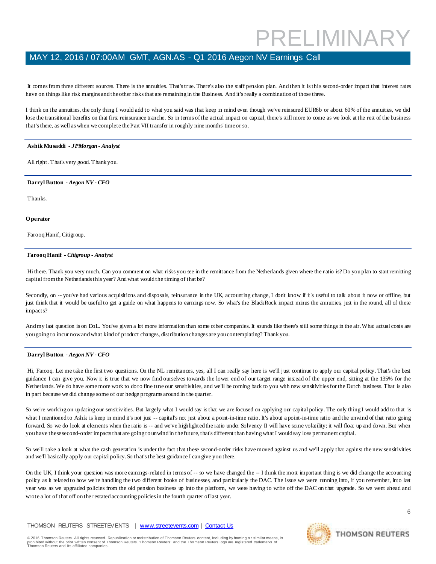It comes from three different sources. There is the annuities. That's true. There's also the staff pension plan. And then it is this second-order impact that interest rates have on things like risk margins and the other risks that are remaining in the Business. And it's really a combination of those three.

I think on the annuities, the only thing I would add to what you said was that keep in mind even though we've reinsured EUR6b or about 60% of the annuities, we did lose the transitional benefits on that first reinsurance tranche. So in terms of the actual impact on capital, there's still more to come as we look at the rest of the business that's there, as well as when we complete the Part VII transfer in roughly nine months' time or so.

### **Ashik Musaddi** *- JPMorgan - Analyst*

All right. That's very good. Thank you.

### **Darryl Button** *- Aegon NV - CFO*

Thanks.

#### **O perator**

Farooq Hanif, Citigroup.

### **Farooq Hanif** *- Citigroup - Analyst*

Hi there. Thank you very much. Can you comment on what risks you see in the remittance from the Netherlands given where the r atio is? Do you plan to start remitting capital from the Netherlands this year? And what would the timing of that be?

Secondly, on -- you've had various acquisitions and disposals, reinsurance in the UK, accounting change, I don't know if it's useful to talk about it now or offline, but just think that it would be useful to get a guide on what happens to earnings now. So what's the BlackRock impact minus the annuities, just in the round, all of these impacts?

And my last question is on DoL. You've given a lot more information than some other companies. It sounds like there's still some things in the air. What actual costs are you going to incur now and what kind of product changes, distribution changes are you contemplating? Thank you.

### **Darryl Button** *- Aegon NV - CFO*

Hi, Farooq. Let me take the first two questions. On the NL remittances, yes, all I can really say here is we'll just continue to apply our capital policy. That's the best guidance I can give you. Now it is true that we now find ourselves towards the lower end of our target range instead of the upper end, sitting at the 135% for the Netherlands. We do have some more work to do to fine tune our sensitivities, and we'll be coming back to you with new sensitivities for the Dutch business. That is also in part because we did change some of our hedge programs around in the quarter.

So we're working on updating our sensitivities. But largely what I would say is that we are focused on applying our capital policy. The only thing I would add to that is what I mentioned to Ashik is keep in mind it's not just -- capital's not just about a point-in-time ratio. It's about a point-in-time ratio and the unwind of that ratio going forward. So we do look at elements when the ratio is -- and we've highlighted the ratio under Solvency II will have some volatility; it will float up and down. But when you have these second-order impacts that are going to unwind in the future, that's different than having what I would say loss permanent capital.

So we'll take a look at what the cash generation is under the fact that these second-order risks have moved against us and we'll apply that against the new sensitivities and we'll basically apply our capital policy. So that's the best guidance I can give you there.

On the UK, I think your question was more earnings-related in terms of -- so we have changed the -- I think the most important thing is we did change the accounting policy as it related to how we're handling the two different books of businesses, and particularly the DAC. The issue we were running into, if you remember, into last year was as we upgraded policies from the old pension business up into the platform, we were having to write off the DAC on that upgrade. So we went ahead and wrote a lot of that off on the restated accounting policies in the fourth quarter of last year.

### THOMSON REUTERS STREETEVENTS | [www.streetevents.com](http://www.streetevents.com/) | [Contact Us](http://www010.streetevents.com/contact.asp)

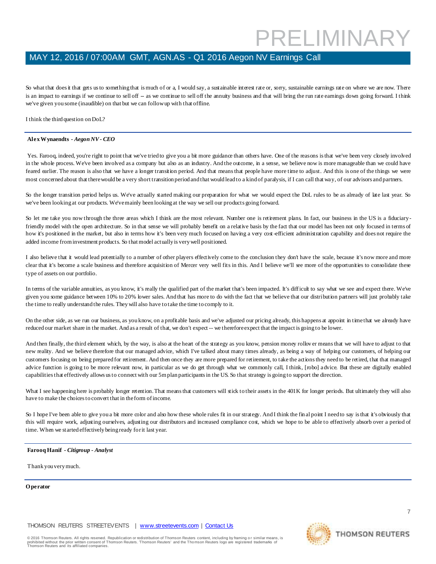## MAY 12, 2016 / 07:00AM GMT, AGN.AS - Q1 2016 Aegon NV Earnings Call

So what that does it that gets us to something that is much of or a, I would say, a sustainable interest rate or, sorry, sustainable earnings rate on where we are now. There is an impact to earnings if we continue to sell off -- as we continue to sell off the annuity business and that will bring the run rate earnings down going forward. I think we've given you some (inaudible) on that but we can follow up with that offline.

I think the third question on DoL?

### **Alex Wynaendts** *- Aegon NV - CEO*

Yes. Farooq, indeed, you're right to point that we've tried to give you a bit more guidance than others have. One of the reasons is that we've been very closely involved in the whole process. We've been involved as a company but also as an industry. And the outcome, in a sense, we believe now is more manageable than we could have feared earlier. The reason is also that we have a longer transition period. And that means that people have more time to adjust. And this is one of the things we were most concerned about that there would be a very short transition period and that would lead to a kind of paralysis, if I can call that way, of our advisors and partners.

So the longer transition period helps us. We've actually started making our preparation for what we would expect the DoL rules to be as already of late last year. So we've been looking at our products. We've mainly been looking at the way we sell our products going forward.

So let me take you now through the three areas which I think are the most relevant. Number one is retirement plans. In fact, our business in the US is a fiduciaryfriendly model with the open architecture. So in that sense we will probably benefit on a relative basis by the fact that our model has been not only focused in terms of how it's positioned in the market, but also in terms how it's been very much focused on having a very cost-efficient administration capability and does not require the added income from investment products. So that model actually is very well positioned.

I also believe that it would lead potentially to a number of other players effectively come to the conclusion they don't have the scale, because it's now more and more clear that it's become a scale business and therefore acquisition of Mercer very well fits in this. And I believe we'll see more of the opportunities to consolidate these type of assets on our portfolio.

In terms of the variable annuities, as you know, it's really the qualified part of the market that's been impacted. It's difficult to say what we see and expect there. We've given you some guidance between 10% to 20% lower sales. And that has more to do with the fact that we believe that our distribution partners will just probably take the time to really understand the rules. They will also have to take the time to comply to it.

On the other side, as we run our business, as you know, on a profitable basis and we've adjusted our pricing already, this happens at appoint in time that we already have reduced our market share in the market. And as a result of that, we don't expect -- we therefore expect that the impact is going to be lower.

And then finally, the third element which, by the way, is also at the heart of the strategy as you know, pension money rollov er means that we will have to adjust to that new reality. And we believe therefore that our managed advice, which I've talked about many times already, as being a way of helping our customers, of helping our customers focusing on being prepared for retirement. And then once they are more prepared for retirement, to take the actions they need to be retired, that that managed advice function is going to be more relevant now, in particular as we do get through what we commonly call, I think, [robo] advice. But these are digitally enabled capabilities that effectively allows us to connect with our 5m plan participants in the US. So that strategy is going to support the direction.

What I see happening here is probably longer retention. That means that customers will stick to their assets in the 401K for longer periods. But ultimately they will also have to make the choices to convert that in the form of income.

So I hope I've been able to give you a bit more color and also how these whole rules fit in our strategy. And I think the fin al point I need to say is that it's obviously that this will require work, adjusting ourselves, adjusting our distributors and increased compliance cost, which we hope to be able to effectively absorb over a period of time. When we started effectively being ready for it last year.

### **Farooq Hanif** *- Citigroup - Analyst*

Thank you very much.

#### **O perator**

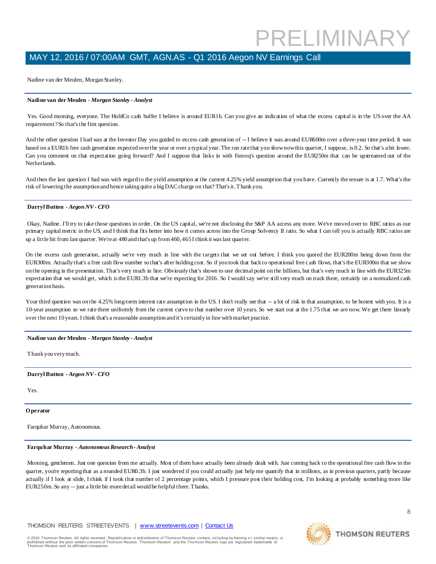Nadine van der Meulen, Morgan Stanley.

### **Nadine van der Meulen** *- Morgan Stanley - Analyst*

Yes. Good moming, everyone. The HoldCo cash buffer I believe is around EUR1b. Can you give an indication of what the excess capital is in the US over the AA requirement? So that's the first question.

And the other question I had was at the Investor Day you guided to excess cash generation of -- I believe it was around EUR600m over a three-year time period. It was based on a EUR1b free cash generation expected over the year or over a typical year. The run rate that you show now this quarter, I suppose, is 0.2. So that's a bit lower. Can you comment on that expectation going forward? And I suppose that links in with Farooq's question around the EUR250m that can be upstreamed out of the Netherlands.

And then the last question I had was with regard to the yield assumption at the current 4.25% yield assumption that you have. Currently the tenure is at 1.7. What's the risk of lowering the assumption and hence taking quite a big DAC charge on that? That's it. Thank you.

### **Darryl Button** *- Aegon NV - CFO*

Okay, Nadine. I'll try to take those questions in order. On the US capital, we're not disclosing the S&P AA access any more. We've moved over to RBC ratios as our primary capital metric in the US, and I think that fits better into how it comes across into the Group Solvency II ratio. So what I can tell you is actually RBC ratios are up a little bit from last quarter. We're at 480 and that's up from 460, 465 I think it was last quarter.

On the excess cash generation, actually we're very much in line with the targets that we set out before. I think you quoted the EUR200m being down from the EUR300m. Actually that's a free cash flow number so that's after holding cost. So if you took that back to operational free cash flows, that's the EUR300m that we show on the opening in the presentation. That's very much in line. Obviously that's shown to one decimal point on the billions, but that's very much in line with the EUR325m expectation that we would get, which is the EUR1.3b that we're expecting for 2016. So I would say we're still very much on track there, certainly on a normalized cash generation basis.

Your third question was on the 4.25% long-term interest rate assumption in the US. I don't really see that -- a lot of risk in that assumption, to be honest with you. It is a 10-year assumption so we rate there uniformly from the current curve to that number over 10 years. So we start out at the 1.75 that we are now. We get there linearly over the next 10 years. I think that's a reasonable assumption and it's certainly in line with market practice.

### **Nadine van der Meulen** *- Morgan Stanley - Analyst*

Thank you very much.

### **Darryl Button** *- Aegon NV - CFO*

Yes.

### **O perator**

Farquhar Murray, Autonomous.

### **Farquhar Murray** *- Autonomous Research - Analyst*

Morning, gentlemen. Just one question from me actually. Most of them have actually been already dealt with. Just coming back to the operational free cash flow in the quarter, you're reporting that as a rounded EUR0.3b. I just wondered if you could actually just help me quantify that in millions, as in previous quarters, partly because actually if I look at slide, I think if I took that number of 2 percentage points, which I pressure post their holding cost, I'm looking at probably something more like EUR250m. So any -- just a little bit more detail would be helpful there. Thanks.

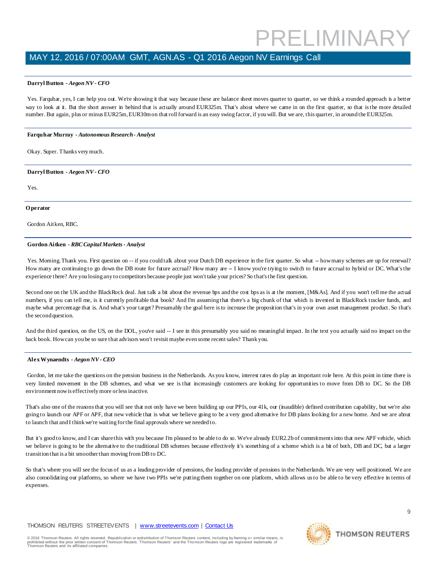## MAY 12, 2016 / 07:00AM GMT, AGN.AS - Q1 2016 Aegon NV Earnings Call

### **Darryl Button** *- Aegon NV - CFO*

Yes. Farquhar, yes, I can help you out. We're showing it that way because these are balance sheet moves quarter to quarter, so we think a rounded approach is a better way to look at it. But the short answer in behind that is actually around EUR325m. That's about where we came in on the first quarter, so that is the more detailed number. But again, plus or minus EUR25m, EUR30m on that roll forward is an easy swing factor, if you will. But we are, this quarter, in around the EUR325m.

### **Farquhar Murray** *- Autonomous Research - Analyst*

Okay. Super. Thanks very much.

### **Darryl Button** *- Aegon NV - CFO*

Yes.

### **O perator**

Gordon Aitken, RBC.

### **Gordon Aitken** *- RBC Capital Markets - Analyst*

Yes. Moming. Thank you. First question on -- if you could talk about your Dutch DB experience in the first quarter. So what -- how many schemes are up for renewal? How many are continuing to go down the DB route for future accrual? How many are  $-1$  know you're trying to switch to future accrual to hybrid or DC. What's the experience there? Are you losing any to competitors because people just won't take your prices? So that's the first question.

Second one on the UK and the BlackRock deal. Just talk a bit about the revenue bps and the cost bps as is at the moment, [M&As]. And if you won't tell me the actual numbers, if you can tell me, is it currently profitable that book? And I'm assuming that there's a big chunk of that which is invested in BlackRock tracker funds, and maybe what percentage that is. And what's your target? Presumably the goal here is to increase the proposition that's in your own asset management product. So that's the second question.

And the third question, on the US, on the DOL, you've said -- I see in this presumably you said no meaningful impact. In the text you actually said no impact on the back book. How can you be so sure that advisors won't revisit maybe even some recent sales? Thank you.

### **Alex Wynaendts** *- Aegon NV - CEO*

Gordon, let me take the questions on the pension business in the Netherlands. As you know, interest rates do play an important role here. At this point in time there is very limited movement in the DB schemes, and what we see is that increasingly customers are looking for opportunities to move from DB to DC. So the DB environment now is effectively more or less inactive.

That's also one of the reasons that you will see that not only have we been building up our PPIs, our 41k, our (inaudible) defined contribution capability, but we're also going to launch our APF or APF, that new vehicle that is what we believe going to be a very good alternative for DB plans looking for a new home. And we are about to launch that and I think we're waiting for the final approvals where we needed to.

But it's good to know, and I can share this with you because I'm pleased to be able to do so. We've already EUR2.2b of commitments into that new APF vehicle, which we believe is going to be the alternative to the traditional DB schemes because effectively it's something of a scheme which is a bit of both, DB and DC, but a larger transition that is a bit smoother than moving from DB to DC.

So that's where you will see the focus of us as a leading provider of pensions, the leading provider of pensions in the Netherlands. We are very well positioned. We are also consolidating our platforms, so where we have two PPIs we're putting them together on one platform, which allows us to be able to be very effective in terms of expenses.

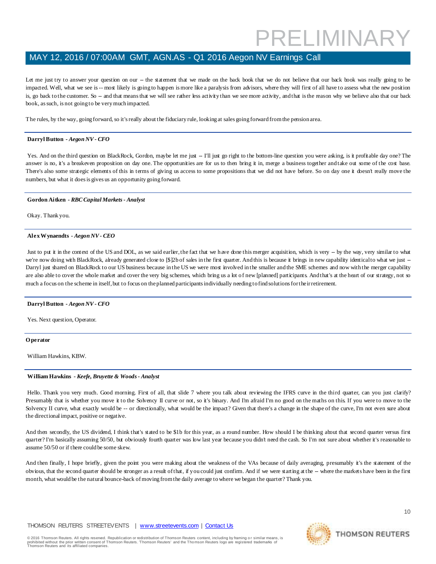## MAY 12, 2016 / 07:00AM GMT, AGN.AS - Q1 2016 Aegon NV Earnings Call

Let me just try to answer your question on our -- the statement that we made on the back book that we do not believe that our back book was really going to be impacted. Well, what we see is -- most likely is going to happen is more like a paralysis from advisors, where they will first of all have to assess what the new position is, go back to the customer. So -- and that means that we will see rather less activity than we see more activity, and that is the reason why we believe also that our back book, as such, is not going to be very much impacted.

The rules, by the way, going forward, so it's really about the fiduciary rule, looking at sales going forward from the pension area.

### **Darryl Button** *- Aegon NV - CFO*

Yes. And on the third question on BlackRock, Gordon, maybe let me just -- I'll just go right to the bottom-line question you were asking, is it profitable day one? The answer is no, it's a breakeven proposition on day one. The opportunities are for us to then bring it in, merge a business together and take out some of the cost base. There's also some strategic elements of this in terms of giving us access to some propositions that we did not have before. So on day one it doesn't really move the numbers, but what it does is gives us an opportunity going forward.

### **Gordon Aitken** *- RBC Capital Markets - Analyst*

Okay. Thank you.

### **Alex Wynaendts** *- Aegon NV - CEO*

Just to put it in the context of the US and DOL, as we said earlier, the fact that we have done this merger acquisition, which is very -- by the way, very similar to what we're now doing with BlackRock, already generated close to [\$]2b of sales in the first quarter. And this is because it brings in new capability identical to what we just --Darryl just shared on BlackRock to our US business because in the US we were most involved in the smaller and the SME schemes and now with the merger capability are also able to cover the whole market and cover the very big schemes, which bring us a lot of new [planned] participants. And that's at the heart of our strategy, not so much a focus on the scheme in itself, but to focus on the planned participants individually needing to find solutions for their retirement.

### **Darryl Button** *- Aegon NV - CFO*

Yes. Next question, Operator.

### **O perator**

William Hawkins, KBW.

### **William Hawkins** *- Keefe, Bruyette & Woods - Analyst*

Hello. Thank you very much. Good morning. First of all, that slide 7 where you talk about reviewing the IFRS curve in the third quarter, can you just clarify? Presumably that is whether you move it to the Solvency II curve or not, so it's binary. And I'm afraid I'm no good on the maths on this. If you were to move to the Solvency II curve, what exactly would be -- or directionally, what would be the impact? Given that there's a change in the shape of the curve, I'm not even sure about the directional impact, positive or negative.

And then secondly, the US dividend, I think that's stated to be \$1b for this year, as a round number. How should I be thinking about that second quarter versus first quarter? I'm basically assuming 50/50, but obviously fourth quarter was low last year because you didn't need the cash. So I'm not sure about whether it's reasonable to assume 50/50 or if there could be some skew.

And then finally, I hope briefly, given the point you were making about the weakness of the VAs because of daily averaging, presumably it's the statement of the obvious, that the second quarter should be stronger as a result of that, if you could just confirm. And if we were starting at the -- where the markets have been in the first month, what would be the natural bounce-back of moving from the daily average to where we began the quarter? Thank you.



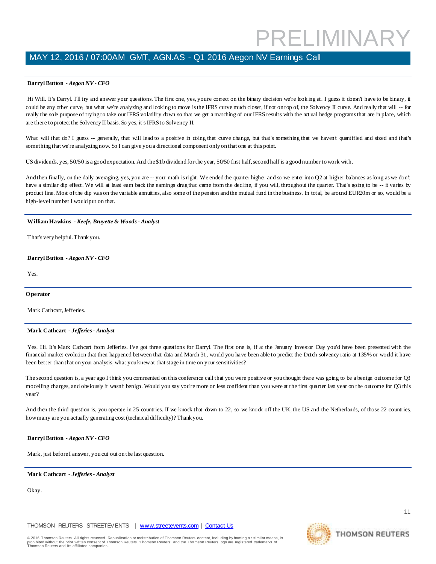### **Darryl Button** *- Aegon NV - CFO*

Hi Will. It's Darryl. I'll try and answer your questions. The first one, yes, you're correct on the binary decision we're looking at. I guess it doesn't have to be binary, it could be any other curve, but what we're analyzing and looking to move is the IFRS curve much closer, if not on top of, the Solvency II curve. And really that will -- for really the sole purpose of trying to take our IFRS volatility down so that we get a matching of our IFRS results with the act ual hedge programs that are in place, which are there to protect the Solvency II basis. So yes, it's IFRS to Solvency II.

What will that do? I guess -- generally, that will lead to a positive in doing that curve change, but that's something that we haven't quantified and sized and that's something that we're analyzing now. So I can give you a directional component only on that one at this point.

US dividends, yes, 50/50 is a good expectation. And the \$1b dividend for the year, 50/50 first half, second half is a good number to work with.

And then finally, on the daily averaging, yes, you are -- your math is right. We ended the quarter higher and so we enter into Q2 at higher balances as long as we don't have a similar dip effect. We will at least earn back the earnings drag that came from the decline, if you will, throughout the quarter. That's going to be -- it varies by product line. Most of the dip was on the variable annuities, also some of the pension and the mutual fund in the business. In total, be around EUR20m or so, would be a high-level number I would put on that.

### **William Hawkins** *- Keefe, Bruyette & Woods - Analyst*

That's very helpful. Thank you.

### **Darryl Button** *- Aegon NV - CFO*

Yes.

### **O perator**

Mark Cathcart, Jefferies.

### **Mark Cathcart** *- Jefferies - Analyst*

Yes. Hi. It's Mark Cathcart from Jefferies. I've got three questions for Darryl. The first one is, if at the January Investor Day you'd have been presented with the financial market evolution that then happened between that data and March 31, would you have been able to predict the Dutch solvency ratio at 135% or would it have been better than that on your analysis, what you knew at that stage in time on your sensitivities?

The second question is, a year ago I think you commented on this conference call that you were positive or you thought there was going to be a benign outcome for Q3 modelling charges, and obviously it wasn't benign. Would you say you're more or less confident than you were at the first qua rter last year on the outcome for Q3 this year?

And then the third question is, you operate in 25 countries. If we knock that down to 22, so we knock off the UK, the US and the Netherlands, of those 22 countries, how many are you actually generating cost (technical difficulty)? Thank you.

### **Darryl Button** *- Aegon NV - CFO*

Mark, just before I answer, you cut out on the last question.

### **Mark Cathcart** *- Jefferies - Analyst*

Okay.

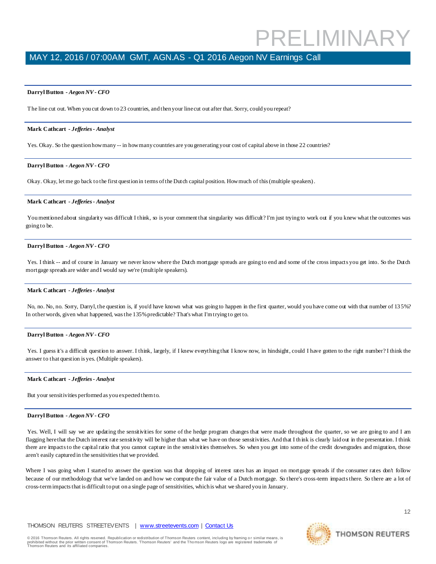## MAY 12, 2016 / 07:00AM GMT, AGN.AS - Q1 2016 Aegon NV Earnings Call

### **Darryl Button** *- Aegon NV - CFO*

The line cut out. When you cut down to 23 countries, and then your line cut out after that. Sorry, could you repeat?

### **Mark Cathcart** *- Jefferies - Analyst*

Yes. Okay. So the question how many -- in how many countries are you generating your cost of capital above in those 22 countries?

### **Darryl Button** *- Aegon NV - CFO*

Okay. Okay, let me go back to the first question in terms of the Dutch capital position. How much of this (multiple speakers).

### **Mark Cathcart** *- Jefferies - Analyst*

You mentioned about singularity was difficult I think, so is your comment that singularity was difficult? I'm just trying to work out if you knew what the outcomes was going to be.

### **Darryl Button** *- Aegon NV - CFO*

Yes. I think -- and of course in January we never know where the Dutch mortgage spreads are going to end and some of the cross impacts you get into. So the Dutch mortgage spreads are wider and I would say we're (multiple speakers).

### **Mark Cathcart** *- Jefferies - Analyst*

No, no. No, no. Sorry, Darryl, the question is, if you'd have known what was going to happen in the first quarter, would you have come out with that number of 135%? In other words, given what happened, was the 135% predictable? That's what I'm trying to get to.

### **Darryl Button** *- Aegon NV - CFO*

Yes. I guess it's a difficult question to answer. I think, largely, if I knew everything that I know now, in hindsight, could I have gotten to the right number? I think the answer to that question is yes. (Multiple speakers).

### **Mark Cathcart** *- Jefferies - Analyst*

But your sensitivities performed as you expected them to.

### **Darryl Button** *- Aegon NV - CFO*

Yes. Well, I will say we are updating the sensitivities for some of the hedge program changes that were made throughout the quarter, so we are going to and I am flagging here that the Dutch interest rate sensitivity will be higher than what we have on those sensitivities. And that I think is clearly laid out in the presentation. I think there are impacts to the capital ratio that you cannot capture in the sensitivities themselves. So when you get into some of the credit downgrades and migration, those aren't easily captured in the sensitivities that we provided.

Where I was going when I started to answer the question was that dropping of interest rates has an impact on mortgage spreads if the consumer rates don't follow because of our methodology that we've landed on and how we compute the fair value of a Dutch mortgage. So there's cross-term impacts there. So there are a lot of cross-termimpacts that is difficult to put on a single page of sensitivities, which is what we shared you in January.

### THOMSON REUTERS STREETEVENTS | [www.streetevents.com](http://www.streetevents.com/) | [Contact Us](http://www010.streetevents.com/contact.asp)

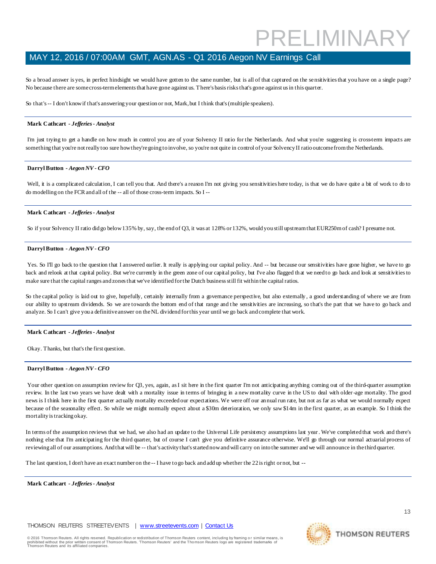## MAY 12, 2016 / 07:00AM GMT, AGN.AS - Q1 2016 Aegon NV Earnings Call

So a broad answer is yes, in perfect hindsight we would have gotten to the same number, but is all of that captured on the sensitivities that you have on a single page? No because there are some cross-term elements that have gone against us. There's basis risks that's gone against us in this quarter.

So that's -- I don't know if that's answering your question or not, Mark, but I think that's (multiple speakers).

### **Mark Cathcart** *- Jefferies - Analyst*

I'm just trying to get a handle on how much in control you are of your Solvency II ratio for the Netherlands. And what you're suggesting is cross-term impacts are something that you're not really too sure how they're going to involve, so you're not quite in control of your Solvency II ratio outcome from the Netherlands.

### **Darryl Button** *- Aegon NV - CFO*

Well, it is a complicated calculation, I can tell you that. And there's a reason I'm not giving you sensitivities here today, is that we do have quite a bit of work to do to do modelling on the FCR and all of the -- all of those cross-term impacts. So I --

### **Mark Cathcart** *- Jefferies - Analyst*

So if your Solvency II ratio did go below 135% by, say, the end of Q3, it was at 128% or 132%, would you still upstream that EUR250m of cash? I presume not.

### **Darryl Button** *- Aegon NV - CFO*

Yes. So I'll go back to the question that I answered earlier. It really is applying our capital policy. And -- but because our sensitivities have gone higher, we have to go back and relook at that capital policy. But we're currently in the green zone of our capital policy, but I've also flagged that we need to go back and look at sensitivities to make sure that the capital ranges and zones that we've identified for the Dutch business still fit within the capital ratios.

So the capital policy is laid out to give, hopefully, certainly internally from a governance perspective, but also externally, a good understanding of where we are from our ability to upstream dividends. So we are towards the bottom end of that range and t he sensitivities are increasing, so that's the part that we have to go back and analyze. So I can't give you a definitive answer on the NL dividend for this year until we go back and complete that work.

### **Mark Cathcart** *- Jefferies - Analyst*

Okay. Thanks, but that's the first question.

### **Darryl Button** *- Aegon NV - CFO*

Your other question on assumption review for Q3, yes, again, as I sit here in the first quarter I'm not anticipating anything coming out of the third-quarter assumption review. In the last two years we have dealt with a mortality issue in terms of bringing in a new mortality curve in the US to deal with older-age mortality. The good news is I think here in the first quarter actually mortality exceeded our expectations. We were off our an nual run rate, but not as far as what we would normally expect because of the seasonality effect. So while we might normally expect about a \$30m deterioration, we only saw \$14m in the first quarter, as an example. So I think the mortality is tracking okay.

In terms of the assumption reviews that we had, we also had an update to the Universal Life persistency assumptions last year. We've completed that work and there's nothing else that I'm anticipating for the third quarter, but of course I can't give you definitive assurance otherwise. We'll go through our normal actuarial process of reviewing all of our assumptions. And that will be -- that's activity that's started now and will carry on into the summer and we will announce in the third quarter.

The last question, I don't have an exact number on the -- I have to go back and add up whether the 22 is right or not, but --

**Mark Cathcart** *- Jefferies - Analyst* 

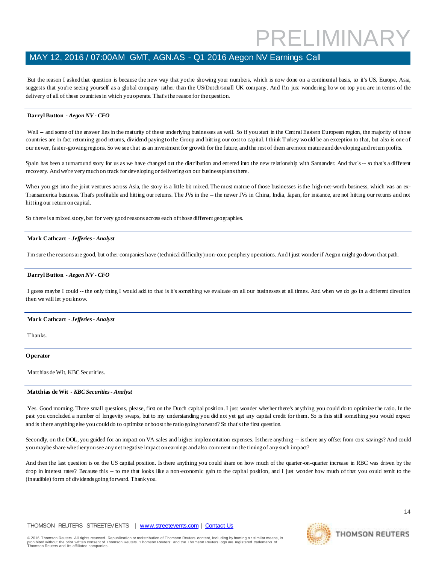### MAY 12, 2016 / 07:00AM GMT, AGN.AS - Q1 2016 Aegon NV Earnings Call

But the reason I asked that question is because the new way that you're showing your numbers, which is now done on a continental basis, so it's US, Europe, Asia, suggests that you're seeing yourself as a global company rather than the US/Dutch/small UK company. And I'm just wondering how on top you are in terms of the delivery of all of these countries in which you operate. That's the reason for the question.

### **Darryl Button** *- Aegon NV - CFO*

Well -- and some of the answer lies in the maturity of these underlying businesses as well. So if you start in the Central Eastern European region, the majority of those countries are in fact returning good returns, dividend paying to the Group and hitting our cost to capital. I think Turkey wo uld be an exception to that, but also is one of our newer, faster-growing regions. So we see that as an investment for growth for the future, and the rest of them are more mature and developing and return profits.

Spain has been a turnaround story for us as we have changed out the distribution and entered into the new relationship with Santander. And that's -- so that's a different recovery. And we're very much on track for developing or delivering on our business plans there.

When you get into the joint ventures across Asia, the story is a little bit mixed. The most mature of those businesses is the high-net-worth business, which was an ex-Transamerica business. That's profitable and hitting our returns. The JVs in the -- the newer JVs in China, India, Japan, for instance, are not hitting our returns and not hitting our return on capital.

So there is a mixed story, but for very good reasons across each of those different geographies.

### **Mark Cathcart** *- Jefferies - Analyst*

I'm sure the reasons are good, but other companies have (technical difficulty) non-core periphery operations. And I just wonder if Aegon might go down that path.

### **Darryl Button** *- Aegon NV - CFO*

I guess maybe I could -- the only thing I would add to that is it's something we evaluate on all our businesses at all times. And when we do go in a different direction then we will let you know.

### **Mark Cathcart** *- Jefferies - Analyst*

Thanks.

### **O perator**

Matthias de Wit, KBC Securities.

### **Matthias de Wit** *- KBC Securities - Analyst*

Yes. Good morning. Three small questions, please, first on the Dutch capital position. I just wonder whether there's anything you could do to optimize the ratio. In the past you concluded a number of longevity swaps, but to my understanding you did not yet get any capital credit for them. So is this still something you would expect and is there anything else you could do to optimize or boost the ratio going forward? So that's the first question.

Secondly, on the DOL, you guided for an impact on VA sales and higher implementation expenses. Is there anything -- is there any offset from cost savings? And could you maybe share whether you see any net negative impact on earnings and also comment on the timing of any such impact?

And then the last question is on the US capital position. Is there anything you could share on how much of the quarter-on-quarter increase in RBC was driven by the drop in interest rates? Because this -- to me that looks like a non-economic gain to the capital position, and I just wonder how much of that you could remit to the (inaudible) form of dividends going forward. Thank you.

### THOMSON REUTERS STREETEVENTS | [www.streetevents.com](http://www.streetevents.com/) | [Contact Us](http://www010.streetevents.com/contact.asp)

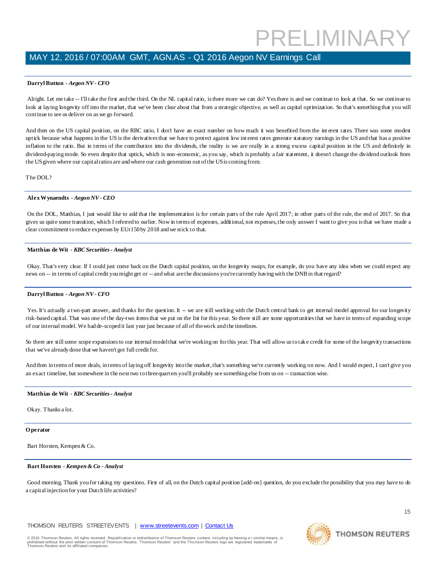### **Darryl Button** *- Aegon NV - CFO*

Alright. Let me take -- I'll take the first and the third. On the NL capital ratio, is there more we can do? Yes there is and we continue to look at that. So we continue to look at laying longevity off into the market, that we've been clear about that from a strategic objective, as well as capital optimization. So that's something that you will continue to see us deliver on as we go forward.

And then on the US capital position, on the RBC ratio, I don't have an exact number on how much it was benefited from the int erest rates. There was some modest uptick because what happens in the US is the derivatives that we have to protect against low int erest rates generate statutory earnings in the US and that has a positive inflation to the ratio. But in terms of the contribution into the dividends, the reality is we are really in a strong excess capital position in the US and definitely in dividend-paying mode. So even despite that uptick, which is non-economic, as you say, which is probably a fair statement, it doesn't change the dividend outlook from the US given where our capital ratios are and where our cash generation out of the US is coming from.

The DOL?

### **Alex Wynaendts** *- Aegon NV - CEO*

On the DOL, Matthias, I just would like to add that the implementation is for certain parts of the rule April 2017; in other parts of the rule, the end of 2017. So that gives us quite some transition, which I referred to earlier. Now in terms of expenses, additional, not expenses, the only answer I want to give you is that we have made a clear commitment to reduce expenses by EUr150 by 2018 and we stick to that.

### **Matthias de Wit** *- KBC Securities - Analyst*

Okay. That's very clear. If I could just come back on the Dutch capital position, on the longevity swaps, for example, do you have any idea when we could expect any news on -- in terms of capital credit you might get or -- and what are the discussions you're currently having with the DNB in that regard?

### **Darryl Button** *- Aegon NV - CFO*

Yes. It's actually a two-part answer, and thanks for the question. It – we are still working with the Dutch central bank to get internal model approval for our longevity risk-based capital. That was one of the day-two items that we put on the list for this year. So there still are some opportunities that we have in terms of expanding scope of our internal model. We had de-scoped it last year just because of all of the work and the timelines.

So there are still some scope expansions to our internal model that we're working on for this year. That will allow us to take credit for some of the longevity transactions that we've already done that we haven't got full credit for.

And then in terms of more deals, in terms of laying off longevity into the market, that's something we're currently working on now. And I would expect, I can't give you an exact timeline, but somewhere in the next two to three quarters you'll probably see something else from us on -- transaction wise.

### **Matthias de Wit** *- KBC Securities - Analyst*

Okay. Thanks a lot.

### **O perator**

Bart Horsten, Kempen & Co.

### **Bart Horsten** *- Kempen & Co - Analyst*

Good morning. Thank you for taking my questions. First of all, on the Dutch capital position [add-on] question, do you exclude the possibility that you may have to do a capital injection for your Dutch life activities?

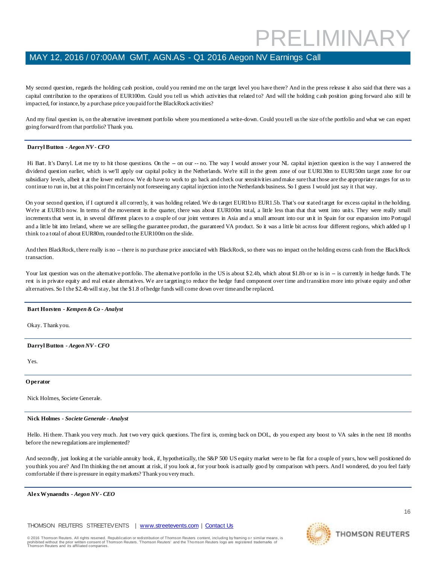My second question, regards the holding cash position, could you remind me on the target level you have there? And in the press release it also said that there was a capital contribution to the operations of EUR100m. Could you tell us which activities that related to? And will the holding cash position going forward also still be impacted, for instance, by a purchase price you paid for the BlackRock activities?

And my final question is, on the alternative investment portfolio where you mentioned a write-down. Could you tell us the size of the portfolio and what we can expect going forward from that portfolio? Thank you.

### **Darryl Button** *- Aegon NV - CFO*

Hi Bart. It's Darryl. Let me try to hit those questions. On the -- on our -- no. The way I would answer your NL capital injection question is the way I answered the dividend question earlier, which is we'll apply our capital policy in the Netherlands. We're still in the green zone of our EUR130m to EUR150m target zone for our subsidiary levels, albeit it at the lower end now. We do have to work to go back and check our sensitivities and make sure that those are the appropriate ranges for us to continue to run in, but at this point I'm certainly not foreseeing any capital injection into the Netherlands business. So I guess I would just say it that way.

On your second question, if I captured it all correctly, it was holding related. We do target EUR1b to EUR1.5b. That's our stated target for excess capital in the holding. We're at EUR1b now. In terms of the movement in the quarter, there was about EUR100m total, a little less than that that went into units. They were really small increments that went in, in several different places to a couple of our joint ventures in Asia and a small amount into our un it in Spain for our expansion into Portugal and a little bit into Ireland, where we are selling the guarantee product, the guaranteed VA product. So it was a little bit across four different regions, which added up I think to a total of about EUR80m, rounded to the EUR100m on the slide.

And then BlackRock, there really is no -- there is no purchase price associated with BlackRock, so there was no impact on the holding excess cash from the BlackRock transaction.

Your last question was on the alternative portfolio. The alternative portfolio in the US is about \$2.4b, which about \$1.8b or so is in -- is currently in hedge funds. The rest is in private equity and real estate alternatives. We are targeting to reduce the hedge fund component over time and transition more into private equity and other alternatives. So I the \$2.4b will stay, but the \$1.8 of hedge funds will come down over time and be replaced.

### **Bart Horsten** *- Kempen & Co - Analyst*

Okay. Thank you.

### **Darryl Button** *- Aegon NV - CFO*

Yes.

### **O perator**

Nick Holmes, Societe Generale.

### **Nick Holmes** *- Societe Generale - Analyst*

Hello. Hi there. Thank you very much. Just two very quick questions. The first is, coming back on DOL, do you expect any boost to VA sales in the next 18 months before the new regulations are implemented?

And secondly, just looking at the variable annuity book, if, hypothetically, the S&P 500 US equity market were to be flat for a couple of years, how well positioned do you think you are? And I'm thinking the net amount at risk, if you look at, for your book is actually goo d by comparison with peers. And I wondered, do you feel fairly comfortable if there is pressure in equity markets? Thank you very much.

### **Alex Wynaendts** *- Aegon NV - CEO*

THOMSON REUTERS STREETEVENTS | [www.streetevents.com](http://www.streetevents.com/) | [Contact Us](http://www010.streetevents.com/contact.asp)

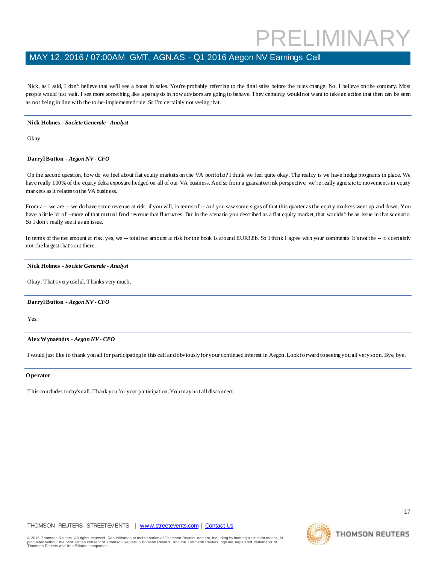### MAY 12, 2016 / 07:00AM GMT, AGN.AS - Q1 2016 Aegon NV Earnings Call

Nick, as I said, I don't believe that we'll see a boost in sales. You're probably referring to the final sales before the rules change. No, I believe on the contrary. Most people would just wait. I see more something like a paralysis in how advisors are going to behave. They certainly would not want to take an action that then can be seen as not being in line with the to-be-implemented rule. So I'm certainly not seeing that.

### **Nick Holmes** *- Societe Generale - Analyst*

Okay.

### **Darryl Button** *- Aegon NV - CFO*

On the second question, how do we feel about flat equity markets on the VA portfolio? I think we feel quite okay. The reality is we have hedge programs in place. We have really 100% of the equity delta exposure hedged on all of our VA business. And so from a guarantee/risk perspective, we're really agnostic to movements in equity markets as it relates to the VA business.

From a -- we are -- we do have some revenue at risk, if you will, in terms of -- and you saw some signs of that this quarter as the equity markets went up and down. You have a little bit of --more of that mutual fund revenue that fluctuates. But in the scenario you described as a flat equity market, that wouldn't be an issue in that scenario. So I don't really see it as an issue.

In terms of the net amount at risk, yes, we -- total net amount at risk for the book is around EUR3.8b. So I think I agree with your comments. It's not the -- it's certainly not the largest that's out there.

### **Nick Holmes** *- Societe Generale - Analyst*

Okay. That's very useful. Thanks very much.

### **Darryl Button** *- Aegon NV - CFO*

Yes.

### **Alex Wynaendts** *- Aegon NV - CEO*

I would just like to thank you all for participating in this call and obviously for your continued interest in Aegon. Look fo rward to seeing you all very soon. Bye, bye.

### **O perator**

This concludes today's call. Thank you for your participation. You may not all disconnect.